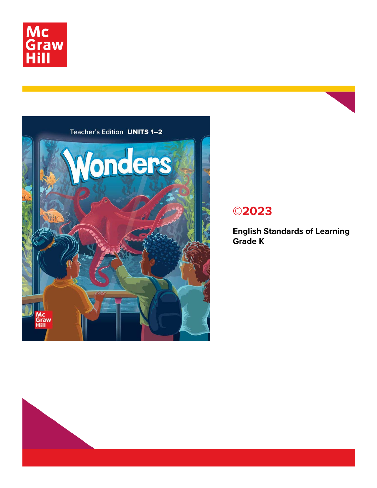



# **©2023**

**English Standards of Learning Grade K**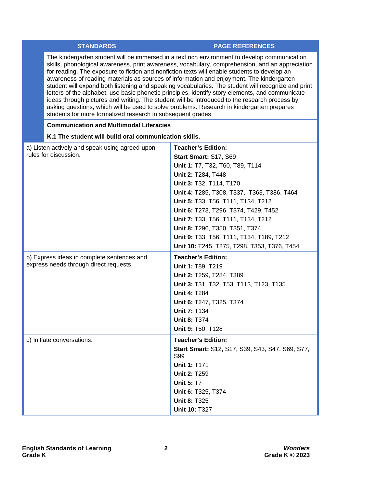#### **STANDARDS PAGE REFERENCES**

The kindergarten student will be immersed in a text rich environment to develop communication skills, phonological awareness, print awareness, vocabulary, comprehension, and an appreciation for reading. The exposure to fiction and nonfiction texts will enable students to develop an awareness of reading materials as sources of information and enjoyment. The kindergarten student will expand both listening and speaking vocabularies. The student will recognize and print letters of the alphabet, use basic phonetic principles, identify story elements, and communicate ideas through pictures and writing. The student will be introduced to the research process by asking questions, which will be used to solve problems. Research in kindergarten prepares students for more formalized research in subsequent grades

### **Communication and Multimodal Literacies**

### **K.1 The student will build oral communication skills.**

| a) Listen actively and speak using agreed-upon<br>rules for discussion. | <b>Teacher's Edition:</b>                              |
|-------------------------------------------------------------------------|--------------------------------------------------------|
|                                                                         | Start Smart: S17, S69                                  |
|                                                                         | Unit 1: T7, T32, T60, T89, T114                        |
|                                                                         | Unit 2: T284, T448                                     |
|                                                                         | Unit 3: T32, T114, T170                                |
|                                                                         | Unit 4: T285, T308, T337, T363, T386, T464             |
|                                                                         | Unit 5: T33, T56, T111, T134, T212                     |
|                                                                         | Unit 6: T273, T296, T374, T429, T452                   |
|                                                                         | Unit 7: T33, T56, T111, T134, T212                     |
|                                                                         | Unit 8: T296, T350, T351, T374                         |
|                                                                         | Unit 9: T33, T56, T111, T134, T189, T212               |
|                                                                         | Unit 10: T245, T275, T298, T353, T376, T454            |
| b) Express ideas in complete sentences and                              | <b>Teacher's Edition:</b>                              |
| express needs through direct requests.                                  | Unit 1: T89, T219                                      |
|                                                                         | Unit 2: T259, T284, T389                               |
|                                                                         | Unit 3: T31, T32, T53, T113, T123, T135                |
|                                                                         | <b>Unit 4: T284</b>                                    |
|                                                                         | Unit 6: T247, T325, T374                               |
|                                                                         | <b>Unit 7: T134</b>                                    |
|                                                                         | <b>Unit 8: T374</b>                                    |
|                                                                         | Unit 9: T50, T128                                      |
| c) Initiate conversations.                                              | <b>Teacher's Edition:</b>                              |
|                                                                         | Start Smart: S12, S17, S39, S43, S47, S69, S77,<br>S99 |
|                                                                         | <b>Unit 1: T171</b>                                    |
|                                                                         | <b>Unit 2: T259</b>                                    |
|                                                                         | <b>Unit 5: T7</b>                                      |
|                                                                         | Unit 6: T325, T374                                     |
|                                                                         | <b>Unit 8: T325</b>                                    |
|                                                                         | Unit 10: T327                                          |
|                                                                         |                                                        |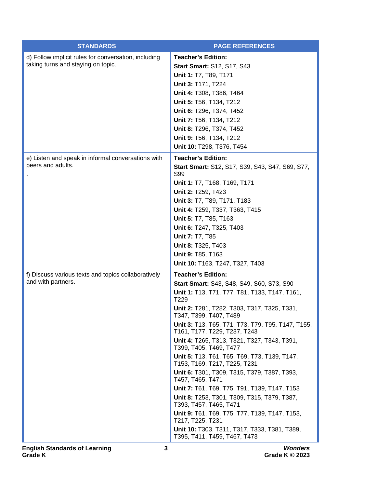| <b>STANDARDS</b>                                                                           | <b>PAGE REFERENCES</b>                                                                                                                                                                                                                                                                                                                                                                                                                                                                                                                                                                                                                                                                                                                                                                                  |
|--------------------------------------------------------------------------------------------|---------------------------------------------------------------------------------------------------------------------------------------------------------------------------------------------------------------------------------------------------------------------------------------------------------------------------------------------------------------------------------------------------------------------------------------------------------------------------------------------------------------------------------------------------------------------------------------------------------------------------------------------------------------------------------------------------------------------------------------------------------------------------------------------------------|
| d) Follow implicit rules for conversation, including<br>taking turns and staying on topic. | <b>Teacher's Edition:</b><br><b>Start Smart: S12, S17, S43</b><br>Unit 1: T7, T89, T171<br>Unit 3: T171, T224<br>Unit 4: T308, T386, T464<br>Unit 5: T56, T134, T212<br>Unit 6: T296, T374, T452<br>Unit 7: T56, T134, T212<br>Unit 8: T296, T374, T452<br>Unit 9: T56, T134, T212<br>Unit 10: T298, T376, T454                                                                                                                                                                                                                                                                                                                                                                                                                                                                                         |
| e) Listen and speak in informal conversations with<br>peers and adults.                    | <b>Teacher's Edition:</b><br>Start Smart: S12, S17, S39, S43, S47, S69, S77,<br>S99<br>Unit 1: T7, T168, T169, T171<br>Unit 2: T259, T423<br>Unit 3: T7, T89, T171, T183<br>Unit 4: T259, T337, T363, T415<br>Unit 5: T7, T85, T163<br>Unit 6: T247, T325, T403<br><b>Unit 7: T7, T85</b><br>Unit 8: T325, T403<br>Unit 9: T85, T163<br>Unit 10: T163, T247, T327, T403                                                                                                                                                                                                                                                                                                                                                                                                                                 |
| f) Discuss various texts and topics collaboratively<br>and with partners.                  | <b>Teacher's Edition:</b><br>Start Smart: S43, S48, S49, S60, S73, S90<br>Unit 1: T13, T71, T77, T81, T133, T147, T161,<br>T229<br>Unit 2: T281, T282, T303, T317, T325, T331,<br>T347, T399, T407, T489<br>Unit 3: T13, T65, T71, T73, T79, T95, T147, T155,<br>T161, T177, T229, T237, T243<br>Unit 4: T265, T313, T321, T327, T343, T391,<br>T399, T405, T469, T477<br>Unit 5: T13, T61, T65, T69, T73, T139, T147,<br>T153, T169, T217, T225, T231<br>Unit 6: T301, T309, T315, T379, T387, T393,<br>T457, T465, T471<br>Unit 7: T61, T69, T75, T91, T139, T147, T153<br>Unit 8: T253, T301, T309, T315, T379, T387,<br>T393, T457, T465, T471<br>Unit 9: T61, T69, T75, T77, T139, T147, T153,<br>T217, T225, T231<br>Unit 10: T303, T311, T317, T333, T381, T389,<br>T395, T411, T459, T467, T473 |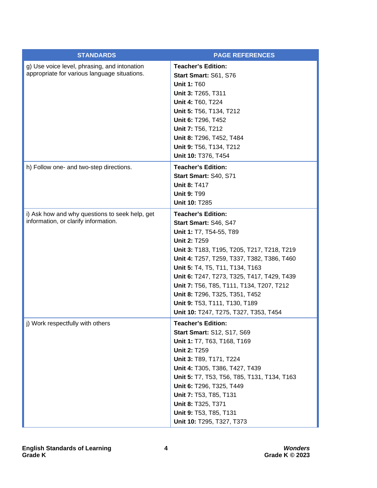| <b>STANDARDS</b>                                                                             | <b>PAGE REFERENCES</b>                                                                                                                                                                                                                                                                                                                                                                                                                    |
|----------------------------------------------------------------------------------------------|-------------------------------------------------------------------------------------------------------------------------------------------------------------------------------------------------------------------------------------------------------------------------------------------------------------------------------------------------------------------------------------------------------------------------------------------|
| g) Use voice level, phrasing, and intonation<br>appropriate for various language situations. | <b>Teacher's Edition:</b><br>Start Smart: S61, S76<br><b>Unit 1: T60</b><br>Unit 3: T265, T311<br>Unit 4: T60, T224<br>Unit 5: T56, T134, T212<br>Unit 6: T296, T452<br>Unit 7: T56, T212<br>Unit 8: T296, T452, T484<br>Unit 9: T56, T134, T212<br>Unit 10: T376, T454                                                                                                                                                                   |
| h) Follow one- and two-step directions.                                                      | <b>Teacher's Edition:</b><br>Start Smart: S40, S71<br><b>Unit 8: T417</b><br><b>Unit 9: T99</b><br>Unit 10: T285                                                                                                                                                                                                                                                                                                                          |
| i) Ask how and why questions to seek help, get<br>information, or clarify information.       | <b>Teacher's Edition:</b><br>Start Smart: S46, S47<br>Unit 1: T7, T54-55, T89<br><b>Unit 2: T259</b><br>Unit 3: T183, T195, T205, T217, T218, T219<br>Unit 4: T257, T259, T337, T382, T386, T460<br>Unit 5: T4, T5, T11, T134, T163<br>Unit 6: T247, T273, T325, T417, T429, T439<br>Unit 7: T56, T85, T111, T134, T207, T212<br>Unit 8: T296, T325, T351, T452<br>Unit 9: T53, T111, T130, T189<br>Unit 10: T247, T275, T327, T353, T454 |
| j) Work respectfully with others                                                             | Teacher's Edition:<br><b>Start Smart: S12, S17, S69</b><br>Unit 1: T7, T63, T168, T169<br><b>Unit 2: T259</b><br>Unit 3: T89, T171, T224<br>Unit 4: T305, T386, T427, T439<br>Unit 5: T7, T53, T56, T85, T131, T134, T163<br>Unit 6: T296, T325, T449<br>Unit 7: T53, T85, T131<br>Unit 8: T325, T371<br>Unit 9: T53, T85, T131<br>Unit 10: T295, T327, T373                                                                              |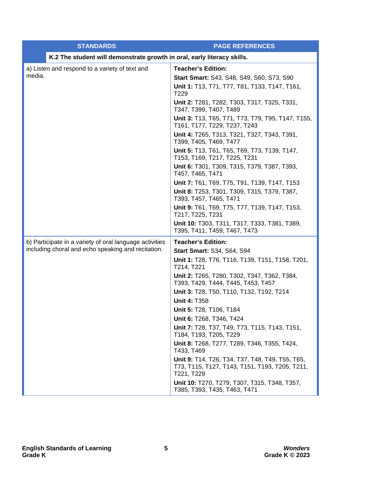| <b>STANDARDS</b>                                                        | <b>PAGE REFERENCES</b>                                                                                          |
|-------------------------------------------------------------------------|-----------------------------------------------------------------------------------------------------------------|
| K.2 The student will demonstrate growth in oral, early literacy skills. |                                                                                                                 |
| a) Listen and respond to a variety of text and                          | <b>Teacher's Edition:</b>                                                                                       |
| media.                                                                  | Start Smart: S43, S48, S49, S60, S73, S90                                                                       |
|                                                                         | Unit 1: T13, T71, T77, T81, T133, T147, T161,<br>T <sub>229</sub>                                               |
|                                                                         | Unit 2: T281, T282, T303, T317, T325, T331,<br>T347, T399, T407, T489                                           |
|                                                                         | Unit 3: T13, T65, T71, T73, T79, T95, T147, T155,<br>T161, T177, T229, T237, T243                               |
|                                                                         | Unit 4: T265, T313, T321, T327, T343, T391,<br>T399, T405, T469, T477                                           |
|                                                                         | Unit 5: T13, T61, T65, T69, T73, T139, T147,<br>T153, T169, T217, T225, T231                                    |
|                                                                         | Unit 6: T301, T309, T315, T379, T387, T393,<br>T457, T465, T471                                                 |
|                                                                         | Unit 7: T61, T69, T75, T91, T139, T147, T153                                                                    |
|                                                                         | Unit 8: T253, T301, T309, T315, T379, T387,<br>T393, T457, T465, T471                                           |
|                                                                         | Unit 9: T61, T69, T75, T77, T139, T147, T153,<br>T217, T225, T231                                               |
|                                                                         | Unit 10: T303, T311, T317, T333, T381, T389,<br>T395, T411, T459, T467, T473                                    |
| b) Participate in a variety of oral language activities                 | <b>Teacher's Edition:</b>                                                                                       |
| including choral and echo speaking and recitation.                      | <b>Start Smart: S34, S64, S94</b>                                                                               |
|                                                                         | Unit 1: T28, T76, T116, T139, T151, T158, T201,<br>T214, T221                                                   |
|                                                                         | Unit 2: T265, T280, T302, T347, T362, T384,<br>T393, T429, T444, T445, T453, T457                               |
|                                                                         | Unit 3: T28, T50, T110, T132, T192, T214                                                                        |
|                                                                         | <b>Unit 4: T358</b>                                                                                             |
|                                                                         | Unit 5: T28, T106, T184                                                                                         |
|                                                                         | Unit 6: T268, T346, T424                                                                                        |
|                                                                         | Unit 7: T28, T37, T49, T73, T115, T143, T151,<br>T184, T193, T205, T229                                         |
|                                                                         | Unit 8: T268, T277, T289, T346, T355, T424,<br>T433, T469                                                       |
|                                                                         | Unit 9: T14, T26, T34, T37, T48, T49, T55, T65,<br>T73, T115, T127, T143, T151, T193, T205, T211,<br>T221, T229 |
|                                                                         | Unit 10: T270, T279, T307, T315, T348, T357,<br>T385, T393, T435, T463, T471                                    |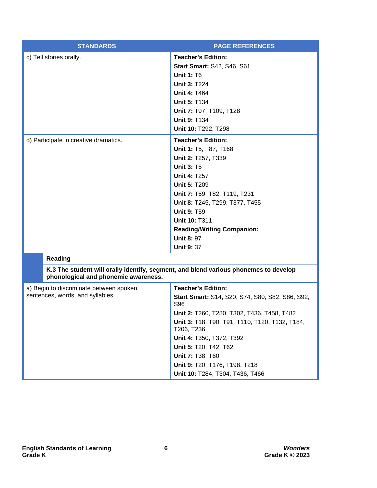| <b>STANDARDS</b>                        | <b>PAGE REFERENCES</b>                                                               |
|-----------------------------------------|--------------------------------------------------------------------------------------|
| c) Tell stories orally.                 | <b>Teacher's Edition:</b>                                                            |
|                                         | Start Smart: S42, S46, S61                                                           |
|                                         | <b>Unit 1: T6</b>                                                                    |
|                                         | Unit 3: T224                                                                         |
|                                         | <b>Unit 4: T464</b>                                                                  |
|                                         | <b>Unit 5: T134</b>                                                                  |
|                                         | Unit 7: T97, T109, T128                                                              |
|                                         | <b>Unit 9: T134</b>                                                                  |
|                                         | Unit 10: T292, T298                                                                  |
| d) Participate in creative dramatics.   | <b>Teacher's Edition:</b>                                                            |
|                                         | Unit 1: T5, T87, T168                                                                |
|                                         | Unit 2: T257, T339                                                                   |
|                                         | <b>Unit 3: T5</b>                                                                    |
|                                         | <b>Unit 4: T257</b>                                                                  |
|                                         | <b>Unit 5: T209</b>                                                                  |
|                                         | Unit 7: T59, T82, T119, T231                                                         |
|                                         | Unit 8: T245, T299, T377, T455                                                       |
|                                         | <b>Unit 9: T59</b>                                                                   |
|                                         | <b>Unit 10: T311</b>                                                                 |
|                                         | <b>Reading/Writing Companion:</b>                                                    |
|                                         | <b>Unit 8: 97</b>                                                                    |
|                                         | <b>Unit 9:37</b>                                                                     |
| Reading                                 |                                                                                      |
| phonological and phonemic awareness.    | K.3 The student will orally identify, segment, and blend various phonemes to develop |
| a) Begin to discriminate between spoken | <b>Teacher's Edition:</b>                                                            |
| sentences, words, and syllables.        | Start Smart: S14, S20, S74, S80, S82, S86, S92,<br>S96                               |
|                                         | Unit 2: T260, T280, T302, T436, T458, T482                                           |
|                                         | Unit 3: T18, T90, T91, T110, T120, T132, T184,<br>T206, T236                         |
|                                         | Unit 4: T350, T372, T392                                                             |
|                                         | Unit 5: T20, T42, T62                                                                |
|                                         | Unit 7: T38, T60                                                                     |
|                                         | Unit 9: T20, T176, T198, T218                                                        |
|                                         | Unit 10: T284, T304, T436, T466                                                      |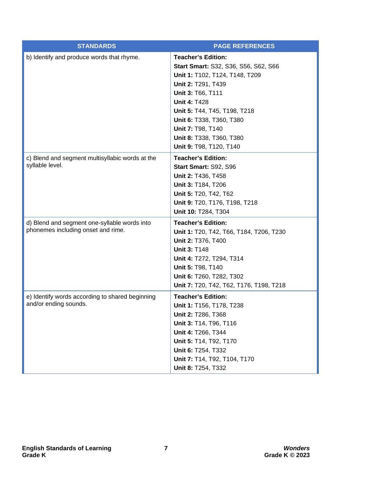| <b>STANDARDS</b>                                                                   | <b>PAGE REFERENCES</b>                                                                                                                                                                                                                                                                                        |
|------------------------------------------------------------------------------------|---------------------------------------------------------------------------------------------------------------------------------------------------------------------------------------------------------------------------------------------------------------------------------------------------------------|
| b) Identify and produce words that rhyme.                                          | <b>Teacher's Edition:</b><br>Start Smart: S32, S36, S56, S62, S66<br>Unit 1: T102, T124, T148, T209<br>Unit 2: T291, T439<br>Unit 3: T66, T111<br><b>Unit 4: T428</b><br>Unit 5: T44, T45, T198, T218<br>Unit 6: T338, T360, T380<br>Unit 7: T98, T140<br>Unit 8: T338, T360, T380<br>Unit 9: T98, T120, T140 |
| c) Blend and segment multisyllabic words at the<br>syllable level.                 | <b>Teacher's Edition:</b><br>Start Smart: S92, S96<br>Unit 2: T436, T458<br>Unit 3: T184, T206<br>Unit 5: T20, T42, T62<br>Unit 9: T20, T176, T198, T218<br>Unit 10: T284, T304                                                                                                                               |
| d) Blend and segment one-syllable words into<br>phonemes including onset and rime. | <b>Teacher's Edition:</b><br>Unit 1: T20, T42, T66, T184, T206, T230<br>Unit 2: T376, T400<br><b>Unit 3: T148</b><br>Unit 4: T272, T294, T314<br>Unit 5: T98, T140<br>Unit 6: T260, T282, T302<br>Unit 7: T20, T42, T62, T176, T198, T218                                                                     |
| e) Identify words according to shared beginning<br>and/or ending sounds.           | <b>Teacher's Edition:</b><br>Unit 1: T156, T178, T238<br>Unit 2: T286, T368<br>Unit 3: T14, T96, T116<br>Unit 4: T266, T344<br>Unit 5: T14, T92, T170<br>Unit 6: T254, T332<br>Unit 7: T14, T92, T104, T170<br>Unit 8: T254, T332                                                                             |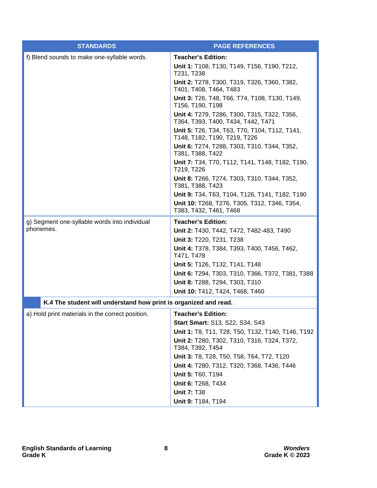| <b>STANDARDS</b>                                                 | <b>PAGE REFERENCES</b>                                                            |
|------------------------------------------------------------------|-----------------------------------------------------------------------------------|
| f) Blend sounds to make one-syllable words.                      | <b>Teacher's Edition:</b>                                                         |
|                                                                  | Unit 1: T108, T130, T149, T156, T190, T212,<br>T231, T238                         |
|                                                                  | Unit 2: T278, T300, T319, T326, T360, T382,<br>T401, T408, T464, T483             |
|                                                                  | Unit 3: T26, T48, T66, T74, T108, T130, T149,<br>T156, T190, T198                 |
|                                                                  | Unit 4: T279, T286, T300, T315, T322, T356,<br>T364, T393, T400, T434, T442, T471 |
|                                                                  | Unit 5: T26, T34, T63, T70, T104, T112, T141,<br>T148, T182, T190, T219, T226     |
|                                                                  | Unit 6: T274, T288, T303, T310, T344, T352,<br>T381, T388, T422                   |
|                                                                  | Unit 7: T34, T70, T112, T141, T148, T182, T190,<br>T219, T226                     |
|                                                                  | Unit 8: T266, T274, T303, T310, T344, T352,<br>T381, T388, T423                   |
|                                                                  | Unit 9: T34, T63, T104, T126, T141, T182, T190                                    |
|                                                                  | Unit 10: T268, T276, T305, T312, T346, T354,<br>T383, T432, T461, T468            |
| g) Segment one-syllable words into individual                    | <b>Teacher's Edition:</b>                                                         |
| phonemes.                                                        | Unit 2: T430, T442, T472, T482-483, T490                                          |
|                                                                  | Unit 3: T220, T231, T238                                                          |
|                                                                  | Unit 4: T378, T384, T393, T400, T456, T462,<br>T471, T478                         |
|                                                                  | Unit 5: T126, T132, T141, T148                                                    |
|                                                                  | Unit 6: T294, T303, T310, T366, T372, T381, T388                                  |
|                                                                  | Unit 8: T288, T294, T303, T310                                                    |
|                                                                  | Unit 10: T412, T424, T468, T460                                                   |
| K.4 The student will understand how print is organized and read. |                                                                                   |
| a) Hold print materials in the correct position.                 | <b>Teacher's Edition:</b>                                                         |
|                                                                  | Start Smart: S13, S22, S34, S43                                                   |
|                                                                  | Unit 1: T8, T11, T28, T50, T132, T140, T146, T192                                 |
|                                                                  | Unit 2: T280, T302, T310, T316, T324, T372,<br>T384, T392, T454                   |
|                                                                  | Unit 3: T8, T28, T50, T58, T64, T72, T120                                         |
|                                                                  | Unit 4: T280, T312, T320, T368, T436, T446                                        |
|                                                                  | Unit 5: T60, T194                                                                 |
|                                                                  | Unit 6: T268, T434                                                                |
|                                                                  | <b>Unit 7: T38</b>                                                                |
|                                                                  | Unit 9: T184, T194                                                                |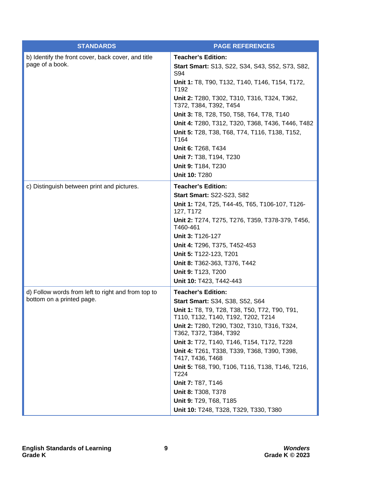| <b>STANDARDS</b>                                                                | <b>PAGE REFERENCES</b>                                                              |
|---------------------------------------------------------------------------------|-------------------------------------------------------------------------------------|
| b) Identify the front cover, back cover, and title<br>page of a book.           | <b>Teacher's Edition:</b><br>Start Smart: S13, S22, S34, S43, S52, S73, S82,<br>S94 |
|                                                                                 | Unit 1: T8, T90, T132, T140, T146, T154, T172,<br>T <sub>192</sub>                  |
|                                                                                 | Unit 2: T280, T302, T310, T316, T324, T362,<br>T372, T384, T392, T454               |
|                                                                                 | Unit 3: T8, T28, T50, T58, T64, T78, T140                                           |
|                                                                                 | Unit 4: T280, T312, T320, T368, T436, T446, T482                                    |
|                                                                                 | Unit 5: T28, T38, T68, T74, T116, T138, T152,<br>T164                               |
|                                                                                 | Unit 6: T268, T434                                                                  |
|                                                                                 | Unit 7: T38, T194, T230                                                             |
|                                                                                 | Unit 9: T184, T230                                                                  |
|                                                                                 | <b>Unit 10: T280</b>                                                                |
| c) Distinguish between print and pictures.                                      | <b>Teacher's Edition:</b>                                                           |
|                                                                                 | <b>Start Smart: S22-S23, S82</b><br>Unit 1: T24, T25, T44-45, T65, T106-107, T126-  |
|                                                                                 | 127, T172                                                                           |
|                                                                                 | Unit 2: T274, T275, T276, T359, T378-379, T456,<br>T460-461                         |
|                                                                                 | Unit 3: T126-127                                                                    |
|                                                                                 | Unit 4: T296, T375, T452-453                                                        |
|                                                                                 | Unit 5: T122-123, T201                                                              |
|                                                                                 | Unit 8: T362-363, T376, T442                                                        |
|                                                                                 | Unit 9: T123, T200<br>Unit 10: T423, T442-443                                       |
|                                                                                 |                                                                                     |
| d) Follow words from left to right and from top to<br>bottom on a printed page. | <b>Teacher's Edition:</b>                                                           |
|                                                                                 | Start Smart: S34, S38, S52, S64<br>Unit 1: T8, T9, T28, T38, T50, T72, T90, T91,    |
|                                                                                 | T110, T132, T140, T192, T202, T214                                                  |
|                                                                                 | Unit 2: T280, T290, T302, T310, T316, T324,<br>T362, T372, T384, T392               |
|                                                                                 | Unit 3: T72, T140, T146, T154, T172, T228                                           |
|                                                                                 | Unit 4: T261, T338, T339, T368, T390, T398,<br>T417, T436, T468                     |
|                                                                                 | Unit 5: T68, T90, T106, T116, T138, T146, T216,<br>T <sub>224</sub>                 |
|                                                                                 | Unit 7: T87, T146                                                                   |
|                                                                                 | Unit 8: T308, T378                                                                  |
|                                                                                 | Unit 9: T29, T68, T185                                                              |
|                                                                                 | Unit 10: T248, T328, T329, T330, T380                                               |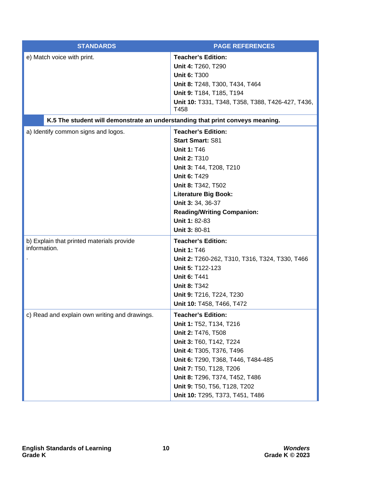| <b>STANDARDS</b>                                                              | <b>PAGE REFERENCES</b>                                   |
|-------------------------------------------------------------------------------|----------------------------------------------------------|
| e) Match voice with print.                                                    | <b>Teacher's Edition:</b>                                |
|                                                                               | Unit 4: T260, T290                                       |
|                                                                               | <b>Unit 6: T300</b>                                      |
|                                                                               | Unit 8: T248, T300, T434, T464                           |
|                                                                               | Unit 9: T184, T185, T194                                 |
|                                                                               | Unit 10: T331, T348, T358, T388, T426-427, T436,<br>T458 |
| K.5 The student will demonstrate an understanding that print conveys meaning. |                                                          |
| a) Identify common signs and logos.                                           | <b>Teacher's Edition:</b>                                |
|                                                                               | <b>Start Smart: S81</b>                                  |
|                                                                               | <b>Unit 1: T46</b>                                       |
|                                                                               | <b>Unit 2: T310</b>                                      |
|                                                                               | Unit 3: T44, T208, T210                                  |
|                                                                               | <b>Unit 6: T429</b>                                      |
|                                                                               | Unit 8: T342, T502                                       |
|                                                                               | <b>Literature Big Book:</b>                              |
|                                                                               | Unit 3: 34, 36-37                                        |
|                                                                               | <b>Reading/Writing Companion:</b>                        |
|                                                                               | Unit 1: 82-83                                            |
|                                                                               | Unit 3: 80-81                                            |
| b) Explain that printed materials provide                                     | <b>Teacher's Edition:</b>                                |
| information.                                                                  | <b>Unit 1: T46</b>                                       |
|                                                                               | Unit 2: T260-262, T310, T316, T324, T330, T466           |
|                                                                               | Unit 5: T122-123                                         |
|                                                                               | <b>Unit 6: T441</b>                                      |
|                                                                               | <b>Unit 8: T342</b>                                      |
|                                                                               | Unit 9: T216, T224, T230                                 |
|                                                                               | Unit 10: T458, T466, T472                                |
| c) Read and explain own writing and drawings.                                 | <b>Teacher's Edition:</b>                                |
|                                                                               | Unit 1: T52, T134, T216                                  |
|                                                                               | Unit 2: T476, T508                                       |
|                                                                               | Unit 3: T60, T142, T224                                  |
|                                                                               | Unit 4: T305, T376, T496                                 |
|                                                                               | Unit 6: T290, T368, T446, T484-485                       |
|                                                                               | Unit 7: T50, T128, T206                                  |
|                                                                               | Unit 8: T296, T374, T452, T486                           |
|                                                                               | Unit 9: T50, T56, T128, T202                             |
|                                                                               | Unit 10: T295, T373, T451, T486                          |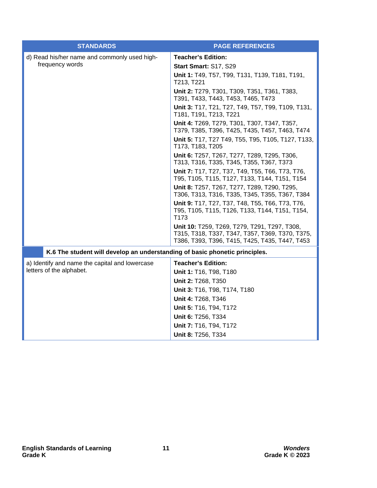| <b>STANDARDS</b>                                                            | <b>PAGE REFERENCES</b>                                                                                                                            |
|-----------------------------------------------------------------------------|---------------------------------------------------------------------------------------------------------------------------------------------------|
| d) Read his/her name and commonly used high-                                | <b>Teacher's Edition:</b>                                                                                                                         |
| frequency words                                                             | Start Smart: S17, S29                                                                                                                             |
|                                                                             | Unit 1: T49, T57, T99, T131, T139, T181, T191,<br>T213, T221                                                                                      |
|                                                                             | Unit 2: T279, T301, T309, T351, T361, T383,<br>T391, T433, T443, T453, T465, T473                                                                 |
|                                                                             | Unit 3: T17, T21, T27, T49, T57, T99, T109, T131,<br>T181, T191, T213, T221                                                                       |
|                                                                             | Unit 4: T269, T279, T301, T307, T347, T357,<br>T379, T385, T396, T425, T435, T457, T463, T474                                                     |
|                                                                             | Unit 5: T17, T27 T49, T55, T95, T105, T127, T133,<br>T173, T183, T205                                                                             |
|                                                                             | Unit 6: T257, T267, T277, T289, T295, T306,<br>T313, T316, T335, T345, T355, T367, T373                                                           |
|                                                                             | Unit 7: T17, T27, T37, T49, T55, T66, T73, T76,<br>T95, T105, T115, T127, T133, T144, T151, T154                                                  |
|                                                                             | Unit 8: T257, T267, T277, T289, T290, T295,<br>T306, T313, T316, T335, T345, T355, T367, T384                                                     |
|                                                                             | Unit 9: T17, T27, T37, T48, T55, T66, T73, T76,<br>T95, T105, T115, T126, T133, T144, T151, T154,<br>T173                                         |
|                                                                             | Unit 10: T259, T269, T279, T291, T297, T308,<br>T315, T318, T337, T347, T357, T369, T370, T375,<br>T386, T393, T396, T415, T425, T435, T447, T453 |
| K.6 The student will develop an understanding of basic phonetic principles. |                                                                                                                                                   |
| a) Identify and name the capital and lowercase                              | <b>Teacher's Edition:</b>                                                                                                                         |
| letters of the alphabet.                                                    | Unit 1: T16, T98, T180                                                                                                                            |
|                                                                             | Unit 2: T268, T350                                                                                                                                |
|                                                                             | Unit 3: T16, T98, T174, T180                                                                                                                      |
|                                                                             | Unit 4: T268, T346                                                                                                                                |
|                                                                             | Unit 5: T16, T94, T172                                                                                                                            |
|                                                                             | Unit 6: T256, T334                                                                                                                                |
|                                                                             | Unit 7: T16, T94, T172                                                                                                                            |
|                                                                             | Unit 8: T256, T334                                                                                                                                |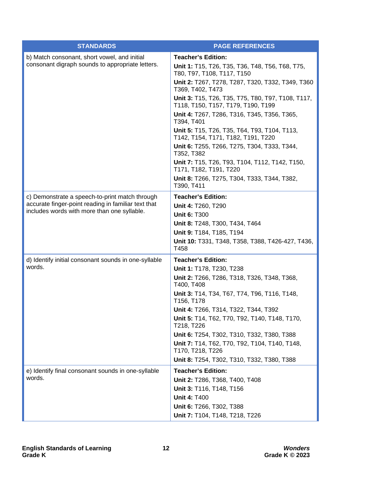| <b>STANDARDS</b>                                                                                                                                     | <b>PAGE REFERENCES</b>                                                                                                                                                                                                                                                                                                                                                                                                                                                                                                                                                                                                                 |
|------------------------------------------------------------------------------------------------------------------------------------------------------|----------------------------------------------------------------------------------------------------------------------------------------------------------------------------------------------------------------------------------------------------------------------------------------------------------------------------------------------------------------------------------------------------------------------------------------------------------------------------------------------------------------------------------------------------------------------------------------------------------------------------------------|
| b) Match consonant, short vowel, and initial<br>consonant digraph sounds to appropriate letters.                                                     | <b>Teacher's Edition:</b><br>Unit 1: T15, T26, T35, T36, T48, T56, T68, T75,<br>T80, T97, T108, T117, T150<br>Unit 2: T267, T278, T287, T320, T332, T349, T360<br>T369, T402, T473<br>Unit 3: T15, T26, T35, T75, T80, T97, T108, T117,<br>T118, T150, T157, T179, T190, T199<br>Unit 4: T267, T286, T316, T345, T356, T365,<br>T394, T401<br>Unit 5: T15, T26, T35, T64, T93, T104, T113,<br>T142, T154, T171, T182, T191, T220<br>Unit 6: T255, T266, T275, T304, T333, T344,<br>T352, T382<br>Unit 7: T15, T26, T93, T104, T112, T142, T150,<br>T171, T182, T191, T220<br>Unit 8: T266, T275, T304, T333, T344, T382,<br>T390, T411 |
| c) Demonstrate a speech-to-print match through<br>accurate finger-point reading in familiar text that<br>includes words with more than one syllable. | <b>Teacher's Edition:</b><br>Unit 4: T260, T290<br><b>Unit 6: T300</b><br>Unit 8: T248, T300, T434, T464<br>Unit 9: T184, T185, T194<br>Unit 10: T331, T348, T358, T388, T426-427, T436,<br>T458                                                                                                                                                                                                                                                                                                                                                                                                                                       |
| d) Identify initial consonant sounds in one-syllable<br>words.                                                                                       | <b>Teacher's Edition:</b><br>Unit 1: T178, T230, T238<br>Unit 2: T266, T286, T318, T326, T348, T368,<br>T400, T408<br>Unit 3: T14, T34, T67, T74, T96, T116, T148,<br>T156, T178<br>Unit 4: T266, T314, T322, T344, T392<br>Unit 5: T14, T62, T70, T92, T140, T148, T170,<br>T218, T226<br>Unit 6: T254, T302, T310, T332, T380, T388<br>Unit 7: T14, T62, T70, T92, T104, T140, T148,<br>T170, T218, T226<br>Unit 8: T254, T302, T310, T332, T380, T388                                                                                                                                                                               |
| e) Identify final consonant sounds in one-syllable<br>words.                                                                                         | <b>Teacher's Edition:</b><br>Unit 2: T286, T368, T400, T408<br>Unit 3: T116, T148, T156<br><b>Unit 4: T400</b><br>Unit 6: T266, T302, T388<br>Unit 7: T104, T148, T218, T226                                                                                                                                                                                                                                                                                                                                                                                                                                                           |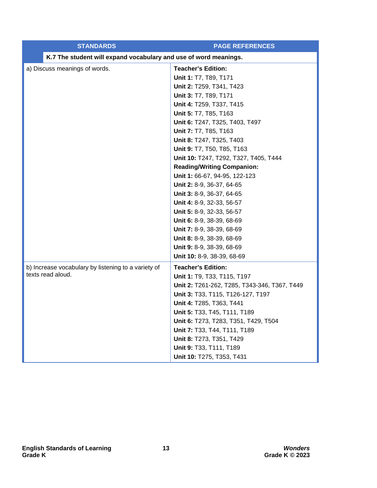| <b>STANDARDS</b>                                                 | <b>PAGE REFERENCES</b>                       |
|------------------------------------------------------------------|----------------------------------------------|
| K.7 The student will expand vocabulary and use of word meanings. |                                              |
| a) Discuss meanings of words.                                    | <b>Teacher's Edition:</b>                    |
|                                                                  | Unit 1: T7, T89, T171                        |
|                                                                  | Unit 2: T259, T341, T423                     |
|                                                                  | Unit 3: T7, T89, T171                        |
|                                                                  | Unit 4: T259, T337, T415                     |
|                                                                  | Unit 5: T7, T85, T163                        |
|                                                                  | Unit 6: T247, T325, T403, T497               |
|                                                                  | Unit 7: T7, T85, T163                        |
|                                                                  | Unit 8: T247, T325, T403                     |
|                                                                  | Unit 9: T7, T50, T85, T163                   |
|                                                                  | Unit 10: T247, T292, T327, T405, T444        |
|                                                                  | <b>Reading/Writing Companion:</b>            |
|                                                                  | Unit 1: 66-67, 94-95, 122-123                |
|                                                                  | Unit 2: 8-9, 36-37, 64-65                    |
|                                                                  | Unit 3: 8-9, 36-37, 64-65                    |
|                                                                  | Unit 4: 8-9, 32-33, 56-57                    |
|                                                                  | Unit 5: 8-9, 32-33, 56-57                    |
|                                                                  | Unit 6: 8-9, 38-39, 68-69                    |
|                                                                  | Unit 7: 8-9, 38-39, 68-69                    |
|                                                                  | Unit 8: 8-9, 38-39, 68-69                    |
|                                                                  | Unit 9: 8-9, 38-39, 68-69                    |
|                                                                  | Unit 10: 8-9, 38-39, 68-69                   |
| b) Increase vocabulary by listening to a variety of              | <b>Teacher's Edition:</b>                    |
| texts read aloud.                                                | Unit 1: T9, T33, T115, T197                  |
|                                                                  | Unit 2: T261-262, T285, T343-346, T367, T449 |
|                                                                  | Unit 3: T33, T115, T126-127, T197            |
|                                                                  | Unit 4: T285, T363, T441                     |
|                                                                  | Unit 5: T33, T45, T111, T189                 |
|                                                                  | Unit 6: T273, T283, T351, T429, T504         |
|                                                                  | Unit 7: T33, T44, T111, T189                 |
|                                                                  | Unit 8: T273, T351, T429                     |
|                                                                  | Unit 9: T33, T111, T189                      |
|                                                                  | Unit 10: T275, T353, T431                    |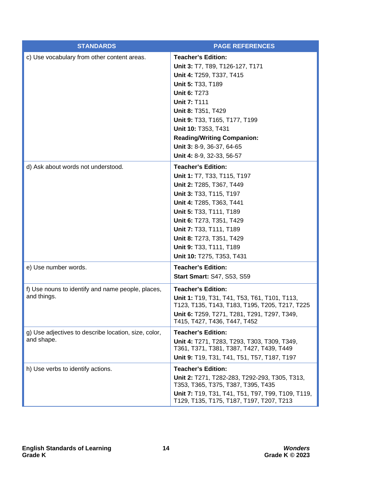| <b>STANDARDS</b>                                                   | <b>PAGE REFERENCES</b>                                                                                                                                                                                                                                                                                                                   |
|--------------------------------------------------------------------|------------------------------------------------------------------------------------------------------------------------------------------------------------------------------------------------------------------------------------------------------------------------------------------------------------------------------------------|
| c) Use vocabulary from other content areas.                        | <b>Teacher's Edition:</b><br>Unit 3: T7, T89, T126-127, T171<br>Unit 4: T259, T337, T415<br>Unit 5: T33, T189<br><b>Unit 6: T273</b><br><b>Unit 7: T111</b><br>Unit 8: T351, T429<br>Unit 9: T33, T165, T177, T199<br>Unit 10: T353, T431<br><b>Reading/Writing Companion:</b><br>Unit 3: 8-9, 36-37, 64-65<br>Unit 4: 8-9, 32-33, 56-57 |
| d) Ask about words not understood.                                 | <b>Teacher's Edition:</b><br>Unit 1: T7, T33, T115, T197<br>Unit 2: T285, T367, T449<br>Unit 3: T33, T115, T197<br>Unit 4: T285, T363, T441<br>Unit 5: T33, T111, T189<br>Unit 6: T273, T351, T429<br>Unit 7: T33, T111, T189<br>Unit 8: T273, T351, T429<br>Unit 9: T33, T111, T189<br>Unit 10: T275, T353, T431                        |
| e) Use number words.                                               | <b>Teacher's Edition:</b><br><b>Start Smart: S47, S53, S59</b>                                                                                                                                                                                                                                                                           |
| f) Use nouns to identify and name people, places,<br>and things.   | <b>Teacher's Edition:</b><br>Unit 1: T19, T31, T41, T53, T61, T101, T113,<br>T123, T135, T143, T183, T195, T205, T217, T225<br>Unit 6: T259, T271, T281, T291, T297, T349,<br>T415, T427, T436, T447, T452                                                                                                                               |
| g) Use adjectives to describe location, size, color,<br>and shape. | <b>Teacher's Edition:</b><br>Unit 4: T271, T283, T293, T303, T309, T349,<br>T361, T371, T381, T387, T427, T439, T449<br>Unit 9: T19, T31, T41, T51, T57, T187, T197                                                                                                                                                                      |
| h) Use verbs to identify actions.                                  | <b>Teacher's Edition:</b><br>Unit 2: T271, T282-283, T292-293, T305, T313,<br>T353, T365, T375, T387, T395, T435<br>Unit 7: T19, T31, T41, T51, T97, T99, T109, T119,<br>T129, T135, T175, T187, T197, T207, T213                                                                                                                        |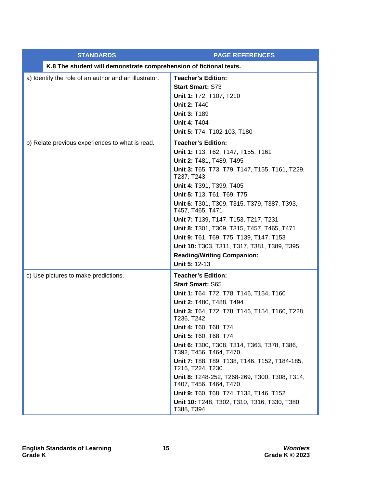| <b>STANDARDS</b>                                                   | <b>PAGE REFERENCES</b>                                                                                                                                                                                                                                                                                                                                                                                                                                                                                                                                                          |
|--------------------------------------------------------------------|---------------------------------------------------------------------------------------------------------------------------------------------------------------------------------------------------------------------------------------------------------------------------------------------------------------------------------------------------------------------------------------------------------------------------------------------------------------------------------------------------------------------------------------------------------------------------------|
| K.8 The student will demonstrate comprehension of fictional texts. |                                                                                                                                                                                                                                                                                                                                                                                                                                                                                                                                                                                 |
| a) Identify the role of an author and an illustrator.              | <b>Teacher's Edition:</b><br><b>Start Smart: S73</b><br>Unit 1: T72, T107, T210<br><b>Unit 2: T440</b><br>Unit 3: T189                                                                                                                                                                                                                                                                                                                                                                                                                                                          |
|                                                                    | <b>Unit 4: T404</b><br>Unit 5: T74, T102-103, T180                                                                                                                                                                                                                                                                                                                                                                                                                                                                                                                              |
| b) Relate previous experiences to what is read.                    | <b>Teacher's Edition:</b><br>Unit 1: T13, T62, T147, T155, T161<br>Unit 2: T481, T489, T495<br>Unit 3: T65, T73, T79, T147, T155, T161, T229,<br>T237, T243<br>Unit 4: T391, T399, T405<br>Unit 5: T13, T61, T69, T75<br>Unit 6: T301, T309, T315, T379, T387, T393,<br>T457, T465, T471<br>Unit 7: T139, T147, T153, T217, T231<br>Unit 8: T301, T309, T315, T457, T465, T471<br>Unit 9: T61, T69, T75, T139, T147, T153<br>Unit 10: T303, T311, T317, T381, T389, T395<br><b>Reading/Writing Companion:</b><br><b>Unit 5: 12-13</b>                                           |
| c) Use pictures to make predictions.                               | <b>Teacher's Edition:</b><br><b>Start Smart: S65</b><br>Unit 1: T64, T72, T78, T146, T154, T160<br>Unit 2: T480, T488, T494<br>Unit 3: T64, T72, T78, T146, T154, T160, T228,<br>T236, T242<br>Unit 4: T60, T68, T74<br>Unit 5: T60, T68, T74<br>Unit 6: T300, T308, T314, T363, T378, T386,<br>T392, T456, T464, T470<br>Unit 7: T88, T89, T138, T146, T152, T184-185,<br>T216, T224, T230<br>Unit 8: T248-252, T268-269, T300, T308, T314,<br>T407, T456, T464, T470<br>Unit 9: T60, T68, T74, T138, T146, T152<br>Unit 10: T248, T302, T310, T316, T330, T380,<br>T388, T394 |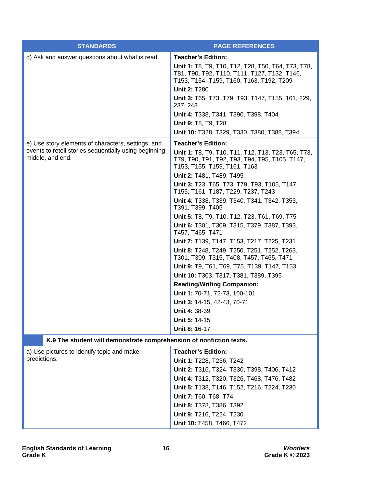| <b>STANDARDS</b>                                                           | <b>PAGE REFERENCES</b>                                                                                                                         |
|----------------------------------------------------------------------------|------------------------------------------------------------------------------------------------------------------------------------------------|
| d) Ask and answer questions about what is read.                            | <b>Teacher's Edition:</b>                                                                                                                      |
|                                                                            | Unit 1: T8, T9, T10, T12, T28, T50, T64, T73, T78,<br>T81, T90, T92, T110, T111, T127, T132, T146,<br>T153, T154, T159, T160, T163, T192, T209 |
|                                                                            | <b>Unit 2: T280</b>                                                                                                                            |
|                                                                            | Unit 3: T65, T73, T79, T93, T147, T155, 161, 229,<br>237, 243                                                                                  |
|                                                                            | Unit 4: T338, T341, T390, T398, T404                                                                                                           |
|                                                                            | Unit 9: T8, T9, T28                                                                                                                            |
|                                                                            | Unit 10: T328, T329, T330, T380, T388, T394                                                                                                    |
| e) Use story elements of characters, settings, and                         | <b>Teacher's Edition:</b>                                                                                                                      |
| events to retell stories sequentially using beginning,<br>middle, and end. | Unit 1: T8, T9, T10, T11, T12, T13, T23, T65, T73,<br>T79, T90, T91, T92, T93, T94, T95, T105, T147,<br>T153, T155, T159, T161, T163           |
|                                                                            | Unit 2: T481, T489, T495                                                                                                                       |
|                                                                            | Unit 3: T23, T65, T73, T79, T93, T105, T147,<br>T155, T161, T187, T229, T237, T243                                                             |
|                                                                            | Unit 4: T338, T339, T340, T341, T342, T353,<br>T391, T399, T405                                                                                |
|                                                                            | Unit 5: T8, T9, T10, T12, T23, T61, T69, T75                                                                                                   |
|                                                                            | Unit 6: T301, T309, T315, T379, T387, T393,<br>T457, T465, T471                                                                                |
|                                                                            | Unit 7: T139, T147, T153, T217, T225, T231                                                                                                     |
|                                                                            | Unit 8: T248, T249, T250, T251, T252, T263,<br>T301, T309, T315, T408, T457, T465, T471                                                        |
|                                                                            | Unit 9: T9, T61, T69, T75, T139, T147, T153                                                                                                    |
|                                                                            | Unit 10: T303, T317, T381, T389, T395                                                                                                          |
|                                                                            | <b>Reading/Writing Companion:</b>                                                                                                              |
|                                                                            | Unit 1: 70-71, 72-73, 100-101                                                                                                                  |
|                                                                            | Unit 3: 14-15, 42-43, 70-71                                                                                                                    |
|                                                                            | Unit 4: 38-39                                                                                                                                  |
|                                                                            | Unit 5: 14-15                                                                                                                                  |
|                                                                            | Unit 8: 16-17                                                                                                                                  |
| K.9 The student will demonstrate comprehension of nonfiction texts.        |                                                                                                                                                |
| a) Use pictures to identify topic and make                                 | <b>Teacher's Edition:</b>                                                                                                                      |
| predictions.                                                               | Unit 1: T228, T236, T242                                                                                                                       |
|                                                                            | Unit 2: T316, T324, T330, T398, T406, T412                                                                                                     |
|                                                                            | Unit 4: T312, T320, T326, T468, T476, T482                                                                                                     |
|                                                                            | Unit 5: T138, T146, T152, T216, T224, T230                                                                                                     |
|                                                                            | Unit 7: T60, T68, T74                                                                                                                          |
|                                                                            | Unit 8: T378, T386, T392                                                                                                                       |
|                                                                            | Unit 9: T216, T224, T230                                                                                                                       |
|                                                                            | Unit 10: T458, T466, T472                                                                                                                      |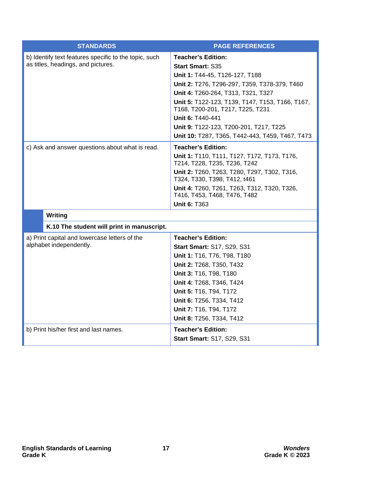| <b>STANDARDS</b>                                      | <b>PAGE REFERENCES</b>                                                              |
|-------------------------------------------------------|-------------------------------------------------------------------------------------|
| b) Identify text features specific to the topic, such | <b>Teacher's Edition:</b>                                                           |
| as titles, headings, and pictures.                    | <b>Start Smart: S35</b>                                                             |
|                                                       | Unit 1: T44-45, T126-127, T188                                                      |
|                                                       | Unit 2: T276, T296-297, T359, T378-379, T460                                        |
|                                                       | Unit 4: T260-264, T313, T321, T327                                                  |
|                                                       | Unit 5: T122-123, T139, T147, T153, T166, T167,<br>T168, T200-201, T217, T225, T231 |
|                                                       | Unit 6: T440-441                                                                    |
|                                                       | Unit 9: T122-123, T200-201, T217, T225                                              |
|                                                       | Unit 10: T287, T365, T442-443, T459, T467, T473                                     |
| c) Ask and answer questions about what is read.       | <b>Teacher's Edition:</b>                                                           |
|                                                       | Unit 1: T110, T111, T127, T172, T173, T176,<br>T214, T228, T235, T236, T242         |
|                                                       | Unit 2: T260, T263, T280, T297, T302, T316,<br>T324, T330, T398, T412, t461         |
|                                                       | Unit 4: T260, T261, T263, T312, T320, T326,<br>T416, T453, T468, T476, T482         |
|                                                       | <b>Unit 6: T363</b>                                                                 |
| Writing                                               |                                                                                     |
| K.10 The student will print in manuscript.            |                                                                                     |
| a) Print capital and lowercase letters of the         | <b>Teacher's Edition:</b>                                                           |
| alphabet independently.                               | <b>Start Smart: S17, S29, S31</b>                                                   |
|                                                       | Unit 1: T16, T76, T98, T180                                                         |
|                                                       | Unit 2: T268, T350, T432                                                            |
|                                                       | Unit 3: T16, T98, T180                                                              |
|                                                       | Unit 4: T268, T346, T424                                                            |
|                                                       | Unit 5: T16, T94, T172                                                              |
|                                                       | Unit 6: T256, T334, T412                                                            |
|                                                       | Unit 7: T16, T94, T172                                                              |
|                                                       | Unit 8: T256, T334, T412                                                            |
| b) Print his/her first and last names.                | <b>Teacher's Edition:</b>                                                           |
|                                                       | Start Smart: S17, S29, S31                                                          |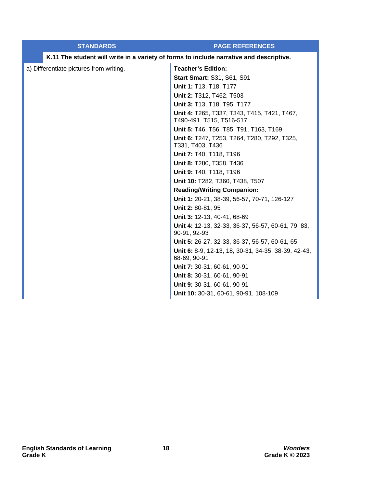| <b>STANDARDS</b>                                                                        | <b>PAGE REFERENCES</b>                                                  |
|-----------------------------------------------------------------------------------------|-------------------------------------------------------------------------|
| K.11 The student will write in a variety of forms to include narrative and descriptive. |                                                                         |
| a) Differentiate pictures from writing.                                                 | <b>Teacher's Edition:</b>                                               |
|                                                                                         | <b>Start Smart: S31, S61, S91</b>                                       |
|                                                                                         | Unit 1: T13, T18, T177                                                  |
|                                                                                         | Unit 2: T312, T462, T503                                                |
|                                                                                         | Unit 3: T13, T18, T95, T177                                             |
|                                                                                         | Unit 4: T265, T337, T343, T415, T421, T467,<br>T490-491, T515, T516-517 |
|                                                                                         | Unit 5: T46, T56, T85, T91, T163, T169                                  |
|                                                                                         | Unit 6: T247, T253, T264, T280, T292, T325,<br>T331, T403, T436         |
|                                                                                         | Unit 7: T40, T118, T196                                                 |
|                                                                                         | Unit 8: T280, T358, T436                                                |
|                                                                                         | Unit 9: T40, T118, T196                                                 |
|                                                                                         | Unit 10: T282, T360, T438, T507                                         |
|                                                                                         | <b>Reading/Writing Companion:</b>                                       |
|                                                                                         | Unit 1: 20-21, 38-39, 56-57, 70-71, 126-127                             |
|                                                                                         | Unit 2: 80-81, 95                                                       |
|                                                                                         | Unit 3: 12-13, 40-41, 68-69                                             |
|                                                                                         | Unit 4: 12-13, 32-33, 36-37, 56-57, 60-61, 79, 83,<br>90-91, 92-93      |
|                                                                                         | Unit 5: 26-27, 32-33, 36-37, 56-57, 60-61, 65                           |
|                                                                                         | Unit 6: 8-9, 12-13, 18, 30-31, 34-35, 38-39, 42-43,<br>68-69, 90-91     |
|                                                                                         | Unit 7: 30-31, 60-61, 90-91                                             |
|                                                                                         | Unit 8: 30-31, 60-61, 90-91                                             |
|                                                                                         | Unit 9: 30-31, 60-61, 90-91                                             |
|                                                                                         | Unit 10: 30-31, 60-61, 90-91, 108-109                                   |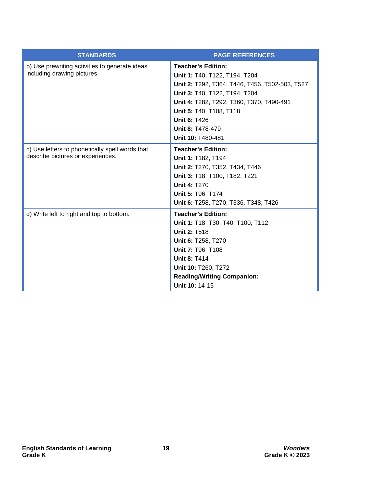| <b>STANDARDS</b>                                | <b>PAGE REFERENCES</b>                         |
|-------------------------------------------------|------------------------------------------------|
| b) Use prewriting activities to generate ideas  | <b>Teacher's Edition:</b>                      |
| including drawing pictures.                     | Unit 1: T40, T122, T194, T204                  |
|                                                 | Unit 2: T292, T364, T446, T456, T502-503, T527 |
|                                                 | Unit 3: T40, T122, T194, T204                  |
|                                                 | Unit 4: T282, T292, T360, T370, T490-491       |
|                                                 | Unit 5: T40, T108, T118                        |
|                                                 | <b>Unit 6: T426</b>                            |
|                                                 | Unit 8: T478-479                               |
|                                                 | Unit 10: T480-481                              |
| c) Use letters to phonetically spell words that | <b>Teacher's Edition:</b>                      |
| describe pictures or experiences.               | Unit 1: T182, T194                             |
|                                                 | Unit 2: T270, T352, T434, T446                 |
|                                                 | Unit 3: T18, T100, T182, T221                  |
|                                                 | Unit 4: T270                                   |
|                                                 | Unit 5: T96, T174                              |
|                                                 | Unit 6: T258, T270, T336, T348, T426           |
| d) Write left to right and top to bottom.       | <b>Teacher's Edition:</b>                      |
|                                                 | Unit 1: T18, T30, T40, T100, T112              |
|                                                 | <b>Unit 2: T518</b>                            |
|                                                 | Unit 6: T258, T270                             |
|                                                 | Unit 7: T96, T108                              |
|                                                 | <b>Unit 8: T414</b>                            |
|                                                 | Unit 10: T260, T272                            |
|                                                 | <b>Reading/Writing Companion:</b>              |
|                                                 | Unit 10: 14-15                                 |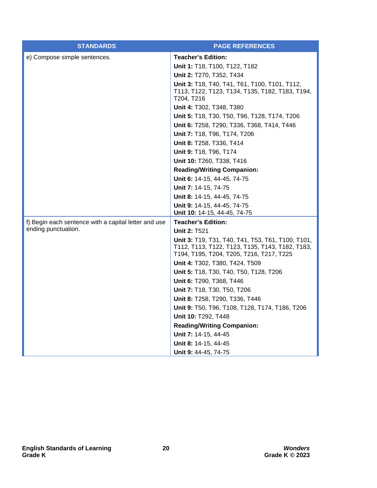| <b>STANDARDS</b>                                     | <b>PAGE REFERENCES</b>                                                                                                                           |
|------------------------------------------------------|--------------------------------------------------------------------------------------------------------------------------------------------------|
| e) Compose simple sentences.                         | <b>Teacher's Edition:</b>                                                                                                                        |
|                                                      | Unit 1: T18, T100, T122, T182                                                                                                                    |
|                                                      | Unit 2: T270, T352, T434                                                                                                                         |
|                                                      | Unit 3: T18, T40, T41, T61, T100, T101, T112,<br>T113, T122, T123, T134, T135, T182, T183, T194,<br>T204, T216                                   |
|                                                      | Unit 4: T302, T348, T380                                                                                                                         |
|                                                      | Unit 5: T18, T30, T50, T96, T128, T174, T206                                                                                                     |
|                                                      | Unit 6: T258, T290, T336, T368, T414, T446                                                                                                       |
|                                                      | Unit 7: T18, T96, T174, T206                                                                                                                     |
|                                                      | Unit 8: T258, T336, T414                                                                                                                         |
|                                                      | Unit 9: T18, T96, T174                                                                                                                           |
|                                                      | Unit 10: T260, T338, T416                                                                                                                        |
|                                                      | <b>Reading/Writing Companion:</b>                                                                                                                |
|                                                      | Unit 6: 14-15, 44-45, 74-75                                                                                                                      |
|                                                      | Unit 7: 14-15, 74-75                                                                                                                             |
|                                                      | Unit 8: 14-15, 44-45, 74-75                                                                                                                      |
|                                                      | Unit 9: 14-15, 44-45, 74-75<br>Unit 10: 14-15, 44-45, 74-75                                                                                      |
| f) Begin each sentence with a capital letter and use | <b>Teacher's Edition:</b>                                                                                                                        |
| ending punctuation.                                  | <b>Unit 2: T521</b>                                                                                                                              |
|                                                      | Unit 3: T19, T31, T40, T41, T53, T61, T100, T101,<br>T112, T113, T122, T123, T135, T143, T182, T183,<br>T194, T195, T204, T205, T216, T217, T225 |
|                                                      | Unit 4: T302, T380, T424, T509                                                                                                                   |
|                                                      | Unit 5: T18, T30, T40, T50, T128, T206                                                                                                           |
|                                                      | Unit 6: T290, T368, T446                                                                                                                         |
|                                                      | Unit 7: T18, T30, T50, T206                                                                                                                      |
|                                                      | Unit 8: T258, T290, T336, T446                                                                                                                   |
|                                                      | Unit 9: T50, T96, T108, T128, T174, T186, T206                                                                                                   |
|                                                      | Unit 10: T292, T448                                                                                                                              |
|                                                      | <b>Reading/Writing Companion:</b>                                                                                                                |
|                                                      | Unit 7: 14-15, 44-45                                                                                                                             |
|                                                      | Unit 8: 14-15, 44-45                                                                                                                             |
|                                                      | Unit 9: 44-45, 74-75                                                                                                                             |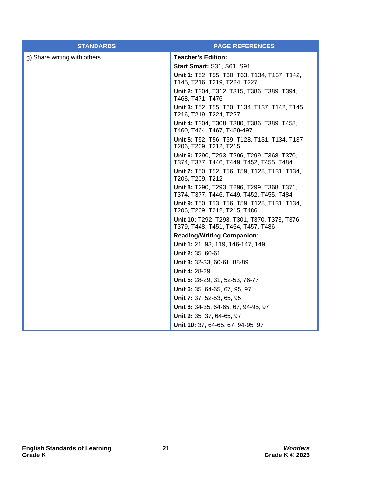| <b>STANDARDS</b>              | <b>PAGE REFERENCES</b>                                                                  |
|-------------------------------|-----------------------------------------------------------------------------------------|
| g) Share writing with others. | <b>Teacher's Edition:</b>                                                               |
|                               | Start Smart: S31, S61, S91                                                              |
|                               | Unit 1: T52, T55, T60, T63, T134, T137, T142,<br>T145, T216, T219, T224, T227           |
|                               | Unit 2: T304, T312, T315, T386, T389, T394,<br>T468, T471, T476                         |
|                               | Unit 3: T52, T55, T60, T134, T137, T142, T145,<br>T216, T219, T224, T227                |
|                               | Unit 4: T304, T308, T380, T386, T389, T458,<br>T460, T464, T467, T488-497               |
|                               | Unit 5: T52, T56, T59, T128, T131, T134, T137,<br>T206, T209, T212, T215                |
|                               | Unit 6: T290, T293, T296, T299, T368, T370,<br>T374, T377, T446, T449, T452, T455, T484 |
|                               | Unit 7: T50, T52, T56, T59, T128, T131, T134,<br>T206, T209, T212                       |
|                               | Unit 8: T290, T293, T296, T299, T368, T371,<br>T374, T377, T446, T449, T452, T455, T484 |
|                               | Unit 9: T50, T53, T56, T59, T128, T131, T134,<br>T206, T209, T212, T215, T486           |
|                               | Unit 10: T292, T298, T301, T370, T373, T376,<br>T379, T448, T451, T454, T457, T486      |
|                               | <b>Reading/Writing Companion:</b>                                                       |
|                               | Unit 1: 21, 93, 119, 146-147, 149                                                       |
|                               | Unit 2: 35, 60-61                                                                       |
|                               | Unit 3: 32-33, 60-61, 88-89                                                             |
|                               | <b>Unit 4: 28-29</b>                                                                    |
|                               | Unit 5: 28-29, 31, 52-53, 76-77                                                         |
|                               | Unit 6: 35, 64-65, 67, 95, 97                                                           |
|                               | Unit 7: 37, 52-53, 65, 95                                                               |
|                               | Unit 8: 34-35, 64-65, 67, 94-95, 97                                                     |
|                               | Unit 9: 35, 37, 64-65, 97<br>Unit 10: 37, 64-65, 67, 94-95, 97                          |
|                               |                                                                                         |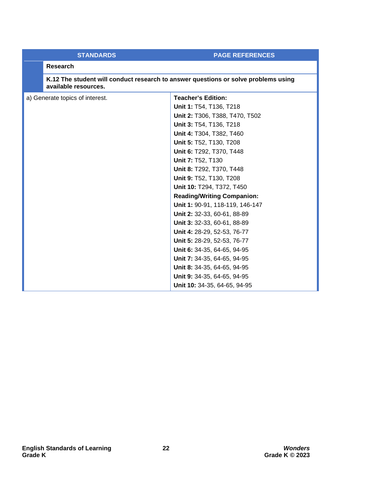# **STANDARDS PAGE REFERENCES**

## **Research**

**K.12 The student will conduct research to answer questions or solve problems using available resources.** 

| a) Generate topics of interest. | <b>Teacher's Edition:</b>         |
|---------------------------------|-----------------------------------|
|                                 | Unit 1: T54, T136, T218           |
|                                 | Unit 2: T306, T388, T470, T502    |
|                                 | Unit 3: T54, T136, T218           |
|                                 | Unit 4: T304, T382, T460          |
|                                 | Unit 5: T52, T130, T208           |
|                                 | Unit 6: T292, T370, T448          |
|                                 | Unit 7: T52, T130                 |
|                                 | Unit 8: T292, T370, T448          |
|                                 | Unit 9: T52, T130, T208           |
|                                 | Unit 10: T294, T372, T450         |
|                                 | <b>Reading/Writing Companion:</b> |
|                                 | Unit 1: 90-91, 118-119, 146-147   |
|                                 | Unit 2: 32-33, 60-61, 88-89       |
|                                 | Unit 3: 32-33, 60-61, 88-89       |
|                                 | Unit 4: 28-29, 52-53, 76-77       |
|                                 | Unit 5: 28-29, 52-53, 76-77       |
|                                 | Unit 6: 34-35, 64-65, 94-95       |
|                                 | Unit 7: 34-35, 64-65, 94-95       |
|                                 | Unit 8: 34-35, 64-65, 94-95       |
|                                 | Unit 9: 34-35, 64-65, 94-95       |
|                                 | Unit 10: 34-35, 64-65, 94-95      |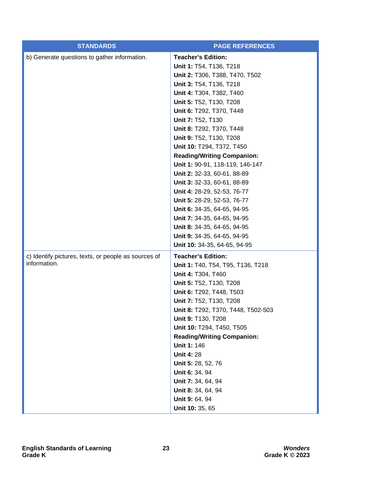| <b>STANDARDS</b>                                     | <b>PAGE REFERENCES</b>             |
|------------------------------------------------------|------------------------------------|
| b) Generate questions to gather information.         | <b>Teacher's Edition:</b>          |
|                                                      | Unit 1: T54, T136, T218            |
|                                                      | Unit 2: T306, T388, T470, T502     |
|                                                      | Unit 3: T54, T136, T218            |
|                                                      | Unit 4: T304, T382, T460           |
|                                                      | Unit 5: T52, T130, T208            |
|                                                      | Unit 6: T292, T370, T448           |
|                                                      | Unit 7: T52, T130                  |
|                                                      | Unit 8: T292, T370, T448           |
|                                                      | Unit 9: T52, T130, T208            |
|                                                      | Unit 10: T294, T372, T450          |
|                                                      | <b>Reading/Writing Companion:</b>  |
|                                                      | Unit 1: 90-91, 118-119, 146-147    |
|                                                      | Unit 2: 32-33, 60-61, 88-89        |
|                                                      | Unit 3: 32-33, 60-61, 88-89        |
|                                                      | Unit 4: 28-29, 52-53, 76-77        |
|                                                      | Unit 5: 28-29, 52-53, 76-77        |
|                                                      | Unit 6: 34-35, 64-65, 94-95        |
|                                                      | Unit 7: 34-35, 64-65, 94-95        |
|                                                      | Unit 8: 34-35, 64-65, 94-95        |
|                                                      | Unit 9: 34-35, 64-65, 94-95        |
|                                                      | Unit 10: 34-35, 64-65, 94-95       |
| c) Identify pictures, texts, or people as sources of | <b>Teacher's Edition:</b>          |
| information.                                         | Unit 1: T40, T54, T95, T136, T218  |
|                                                      | Unit 4: T304, T460                 |
|                                                      | Unit 5: T52, T130, T208            |
|                                                      | Unit 6: T292, T448, T503           |
|                                                      | Unit 7: T52, T130, T208            |
|                                                      | Unit 8: T292, T370, T448, T502-503 |
|                                                      | Unit 9: T130, T208                 |
|                                                      | Unit 10: T294, T450, T505          |
|                                                      | <b>Reading/Writing Companion:</b>  |
|                                                      | <b>Unit 1: 146</b>                 |
|                                                      | <b>Unit 4:28</b>                   |
|                                                      | Unit 5: 28, 52, 76                 |
|                                                      | Unit 6: 34, 94                     |
|                                                      | Unit 7: 34, 64, 94                 |
|                                                      | Unit 8: 34, 64, 94                 |
|                                                      | Unit 9: 64, 94                     |
|                                                      | Unit 10: 35, 65                    |